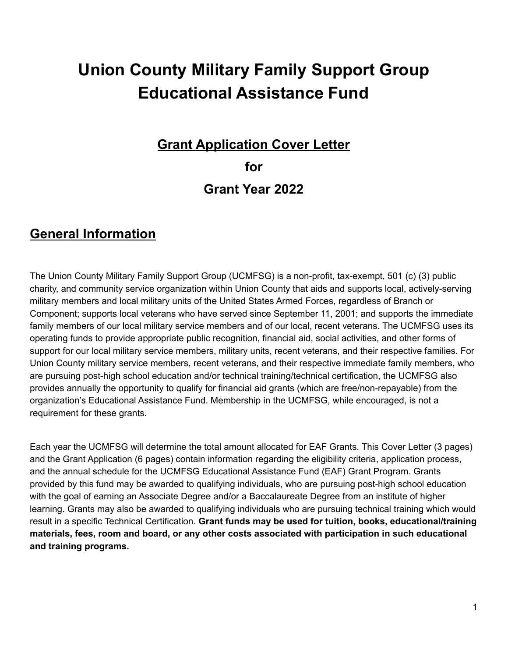# **Union County Military Family Support Group Educational Assistance Fund**

#### **Grant Application Cover Letter for**

## **Grant Year 2022**

#### **General Information**

The Union County Military Family Support Group (UCMFSG) is a non-profit, tax-exempt, 501 (c) (3) public charity, and community service organization within Union County that aids and supports local, actively-serving military members and local military units of the United States Armed Forces, regardless of Branch or Component; supports local veterans who have served since September 11, 2001; and supports the immediate family members of our local military service members and of our local, recent veterans. The UCMFSG uses its operating funds to provide appropriate public recognition, financial aid, social activities, and other forms of support for our local military service members, military units, recent veterans, and their respective families. For Union County military service members, recent veterans, and their respective immediate family members, who are pursuing post-high school education and/or technical training/technical certification, the UCMFSG also provides annually the opportunity to qualify for financial aid grants (which are free/non-repayable) from the organization's Educational Assistance Fund. Membership in the UCMFSG, while encouraged, is not a requirement for these grants.

Each year the UCMFSG will determine the total amount allocated for EAF Grants. This Cover Letter (3 pages) and the Grant Application (6 pages) contain information regarding the eligibility criteria, application process, and the annual schedule for the UCMFSG Educational Assistance Fund (EAF) Grant Program. Grants provided by this fund may be awarded to qualifying individuals, who are pursuing post-high school education with the goal of earning an Associate Degree and/or a Baccalaureate Degree from an institute of higher learning. Grants may also be awarded to qualifying individuals who are pursuing technical training which would result in a specific Technical Certification. **Grant funds may be used for tuition, books, educational/training materials, fees, room and board, or any other costs associated with participation in such educational and training programs.**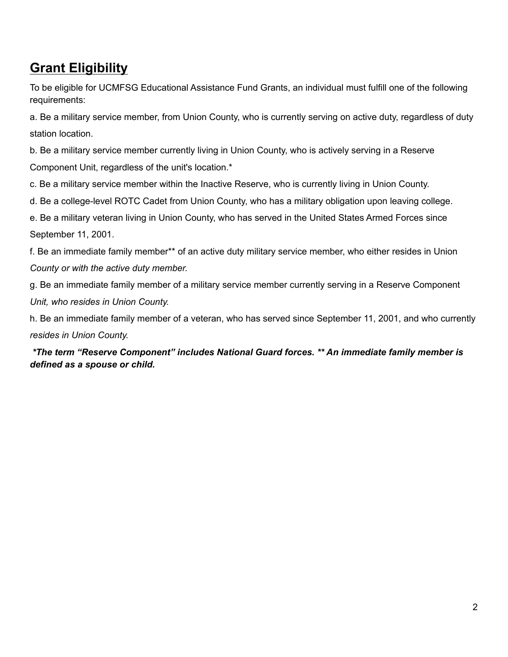### **Grant Eligibility**

To be eligible for UCMFSG Educational Assistance Fund Grants, an individual must fulfill one of the following requirements:

a. Be a military service member, from Union County, who is currently serving on active duty, regardless of duty station location.

b. Be a military service member currently living in Union County, who is actively serving in a Reserve Component Unit, regardless of the unit's location.\*

c. Be a military service member within the Inactive Reserve, who is currently living in Union County.

d. Be a college-level ROTC Cadet from Union County, who has a military obligation upon leaving college.

e. Be a military veteran living in Union County, who has served in the United States Armed Forces since September 11, 2001.

f. Be an immediate family member\*\* of an active duty military service member, who either resides in Union *County or with the active duty member.*

g. Be an immediate family member of a military service member currently serving in a Reserve Component *Unit, who resides in Union County.*

h. Be an immediate family member of a veteran, who has served since September 11, 2001, and who currently *resides in Union County.*

*\*The term "Reserve Component" includes National Guard forces. \*\* An immediate family member is defined as a spouse or child.*